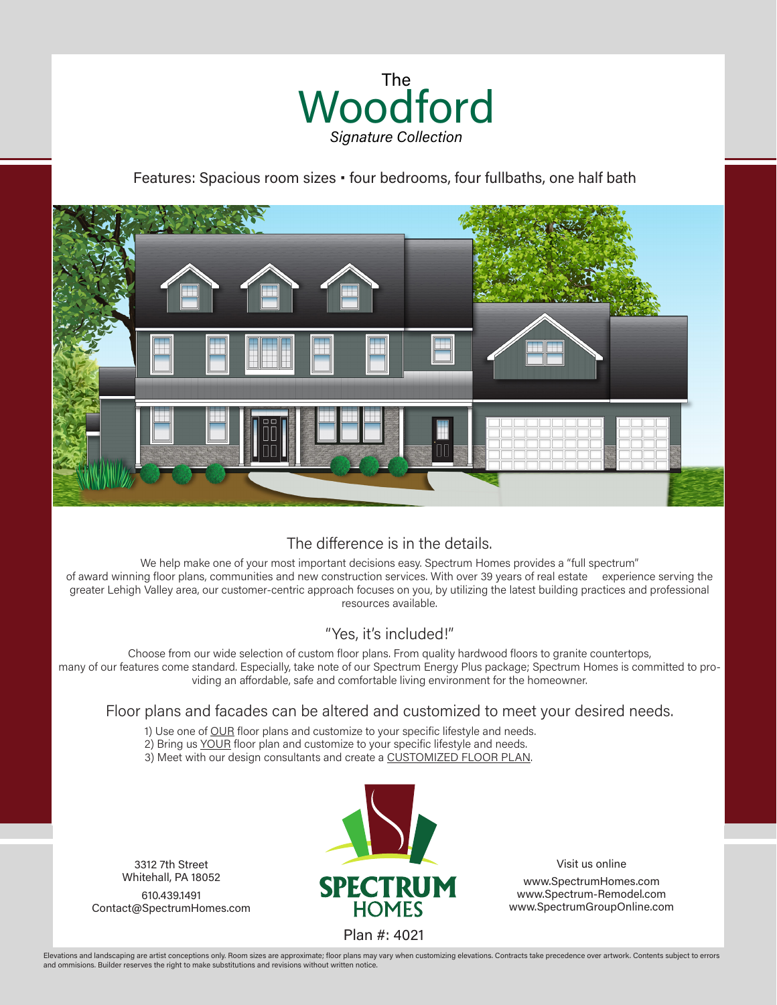

## Features: Spacious room sizes • four bedrooms, four fullbaths, one half bath



## The difference is in the details.

We help make one of your most important decisions easy. Spectrum Homes provides a "full spectrum" of award winning floor plans, communities and new construction services. With over 39 years of real estate experience serving the greater Lehigh Valley area, our customer-centric approach focuses on you, by utilizing the latest building practices and professional resources available.

## "Yes, it's included!"

Choose from our wide selection of custom floor plans. From quality hardwood floors to granite countertops, many of our features come standard. Especially, take note of our Spectrum Energy Plus package; Spectrum Homes is committed to providing an affordable, safe and comfortable living environment for the homeowner.

## Floor plans and facades can be altered and customized to meet your desired needs.

- 1) Use one of OUR floor plans and customize to your specific lifestyle and needs.
- 2) Bring us YOUR floor plan and customize to your specific lifestyle and needs.
- 3) Meet with our design consultants and create a CUSTOMIZED FLOOR PLAN.

3312 7th Street Whitehall, PA 18052 610.439.1491 Contact@SpectrumHomes.com



Visit us online

www.SpectrumHomes.com www.Spectrum-Remodel.com www.SpectrumGroupOnline.com

Elevations and landscaping are artist conceptions only. Room sizes are approximate; floor plans may vary when customizing elevations. Contracts take precedence over artwork. Contents subject to errors and ommisions. Builder reserves the right to make substitutions and revisions without written notice.